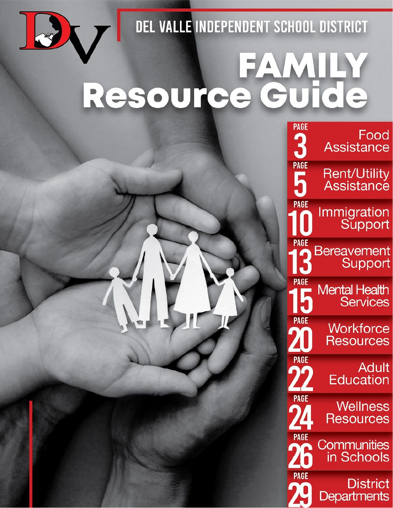

DEL VALLE INDEPENDENT SCHOOL DISTRICT

# Resource Guide

| rage<br>ባ<br>$\mathbf{J}$ | Food<br><b>Assistance</b>               |
|---------------------------|-----------------------------------------|
| <b>PAGE</b><br>5          | Rent/Utility<br>Assistance              |
| <b>PAGE</b>               | Immigration<br>Support                  |
| <b>PAGE</b>               | <b>Bereavement</b><br>Support           |
| <b>PAGE</b>               | <b>Mental Health</b><br><b>Services</b> |
| <b>PAGE</b>               | Workforce<br><b>Resources</b>           |
| <b>PAGE</b>               | Adult<br><b>Education</b>               |
| <b>PAGE</b><br>9 Z        | <b>Wellness</b><br>Resources            |
| PAGE                      | Communities<br>in Schools               |
| <b>PAGE</b>               | District<br>Departments                 |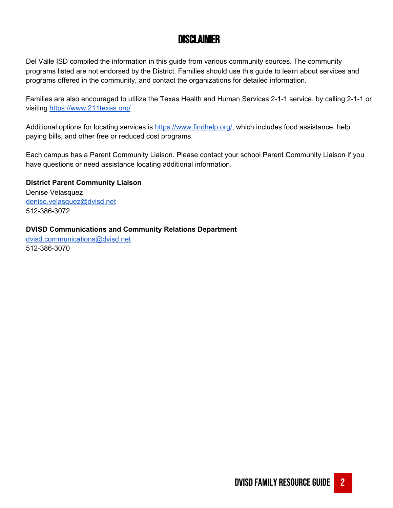# Disclaimer

Del Valle ISD compiled the information in this guide from various community sources. The community programs listed are not endorsed by the District. Families should use this guide to learn about services and programs offered in the community, and contact the organizations for detailed information.

Families are also encouraged to utilize the Texas Health and Human Services 2-1-1 service, by calling 2-1-1 or visiting <https://www.211texas.org/>

Additional options for locating services is [https://www.findhelp.org/,](https://www.findhelp.org/) which includes food assistance, help paying bills, and other free or reduced cost programs.

Each campus has a Parent Community Liaison. Please contact your school Parent Community Liaison if you have questions or need assistance locating additional information.

**District Parent Community Liaison** Denise Velasquez [denise.velasquez@dvisd.net](mailto:denise.velasquez@dvisd.net) 512-386-3072

**DVISD Communications and Community Relations Department**

[dvisd.communications@dvisd.net](mailto:dvisd.communications@dvisd.net) 512-386-3070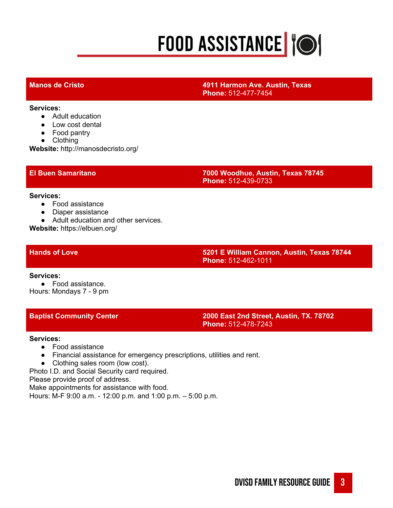# **FOOD ASSISTANCE TO!**

## **Manos de Cristo 4911 Harmon Ave. Austin, Texas Phone:** 512-477-7454

**Services:**

- Adult education
- Low cost dental
- Food pantry
- Clothing

**Website:** http://manosdecristo.org/

### **El Buen Samaritano 7000 Woodhue, Austin, Texas 78745 Phone:** 512-439-0733

### **Services:**

- Food assistance
- Diaper assistance
- Adult education and other services.

**Website:** https://elbuen.org/

**Hands of Love 5201 E William Cannon, Austin, Texas 78744 Phone:** 512-462-1011

**Services:**

● Food assistance. Hours: Mondays 7 - 9 pm

**Baptist Community Center 2000 East 2nd Street, Austin, TX. 78702 Phone:** 512-478-7243

### **Services:**

- Food assistance
- Financial assistance for emergency prescriptions, utilities and rent.
- Clothing sales room (low cost).

Photo I.D. and Social Security card required.

Please provide proof of address.

Make appointments for assistance with food.

Hours: M-F 9:00 a.m. - 12:00 p.m. and 1:00 p.m. – 5:00 p.m.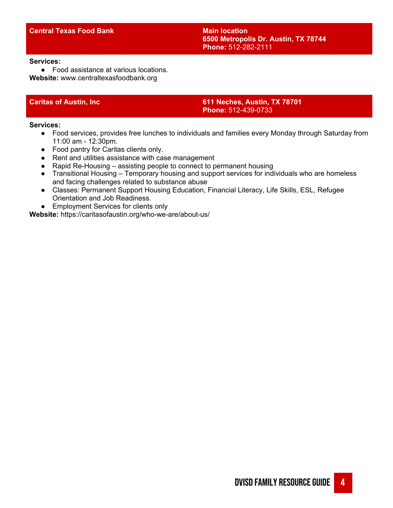### **Central Texas Food Bank Main Main Main location**

**6500 Metropolis Dr. Austin, TX 78744 Phone:** 512-282-2111

### **Services:**

● Food assistance at various locations. **Website:** www.centraltexasfoodbank.org

**Caritas of Austin, Inc 611 Neches, Austin, TX 78701 Phone:** 512-439-0733

**Services:**

- Food services, provides free lunches to individuals and families every Monday through Saturday from 11:00 am - 12:30pm.
- Food pantry for Caritas clients only.
- Rent and utilities assistance with case management
- Rapid Re-Housing assisting people to connect to permanent housing
- Transitional Housing Temporary housing and support services for individuals who are homeless and facing challenges related to substance abuse
- Classes: Permanent Support Housing Education, Financial Literacy, Life Skills, ESL, Refugee Orientation and Job Readiness.
- Employment Services for clients only

**Website:** https://caritasofaustin.org/who-we-are/about-us/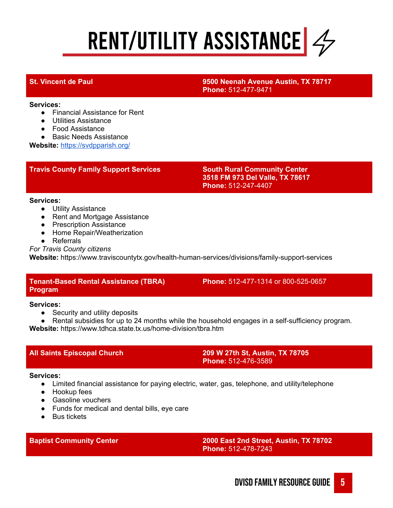# RENT/UTILITY ASSISTANCE  $\frac{2}{\sqrt{2}}$

## **St. Vincent de Paul 9500 Neenah Avenue Austin, TX 78717 Phone:** 512-477-9471

### **Services:**

- Financial Assistance for Rent
- Utilities Assistance
- Food Assistance

● Basic Needs Assistance

**Website:** <https://svdpparish.org/>

# **Travis County Family Support Services South Rural Community Center**

# **3518 FM 973 Del Valle, TX 78617 Phone:** 512-247-4407

### **Services:**

- Utility Assistance
- Rent and Mortgage Assistance
- Prescription Assistance
- Home Repair/Weatherization
- Referrals
- *For Travis County citizens*

**Website:** https://www.traviscountytx.gov/health-human-services/divisions/family-support-services

# **Tenant-Based Rental Assistance (TBRA) Program**

**Phone:** 512-477-1314 or 800-525-0657

# **Services:**

- Security and utility deposits
- Rental subsidies for up to 24 months while the household engages in a self-sufficiency program.

**Website:** https://www.tdhca.state.tx.us/home-division/tbra.htm

**All Saints Episcopal Church 209 W 27th St, Austin, TX 78705 Phone:** 512-476-3589

# **Services:**

- Limited financial assistance for paying electric, water, gas, telephone, and utility/telephone
- Hookup fees
- Gasoline vouchers
- Funds for medical and dental bills, eye care
- Bus tickets

**Baptist Community Center 2000 East 2nd Street, Austin, TX 78702 Phone:** 512-478-7243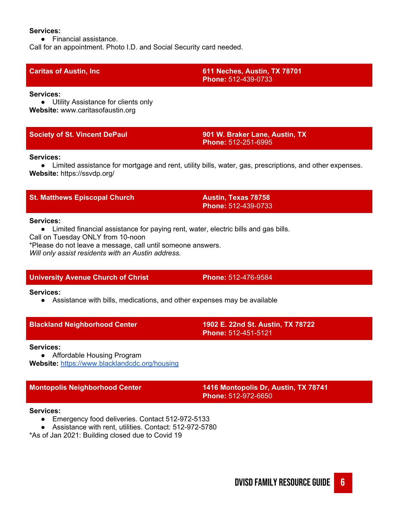### **Services:**

● Financial assistance.

Call for an appointment. Photo I.D. and Social Security card needed.

**Caritas of Austin, Inc 611 Neches, Austin, TX 78701 Phone:** 512-439-0733

### **Services:**

● Utility Assistance for clients only **Website:** www.caritasofaustin.org

**Society of St. Vincent DePaul 901 W. Braker Lane, Austin, TX Phone:** 512-251-6995

## **Services:**

● Limited assistance for mortgage and rent, utility bills, water, gas, prescriptions, and other expenses. **Website:** https://ssvdp.org/

| <b>St. Matthews Episcopal Church</b> |  |
|--------------------------------------|--|
|--------------------------------------|--|

**St. Matthews Episcopal Church Austin, Texas 78758 Phone:** 512-439-0733

## **Services:**

● Limited financial assistance for paying rent, water, electric bills and gas bills.

Call on Tuesday ONLY from 10-noon

\*Please do not leave a message, call until someone answers.

*Will only assist residents with an Austin address.*

# **University Avenue Church of Christ Phone:** 512-476-9584

# **Services:**

● Assistance with bills, medications, and other expenses may be available

|  |  | <b>Blackland Neighborhood Center</b> |  |
|--|--|--------------------------------------|--|
|  |  |                                      |  |

**Blackland Neighborhood Center 1902 E. 22nd St. Austin, TX 78722 Phone:** 512-451-5121

### **Services:**

● Affordable Housing Program **Website:** <https://www.blacklandcdc.org/housing>

**Montopolis Neighborhood Center 1416 Montopolis Dr, Austin, TX 78741 Phone:** 512-972-6650

### **Services:**

- Emergency food deliveries. Contact 512-972-5133
- Assistance with rent, utilities. Contact: 512-972-5780

\*As of Jan 2021: Building closed due to Covid 19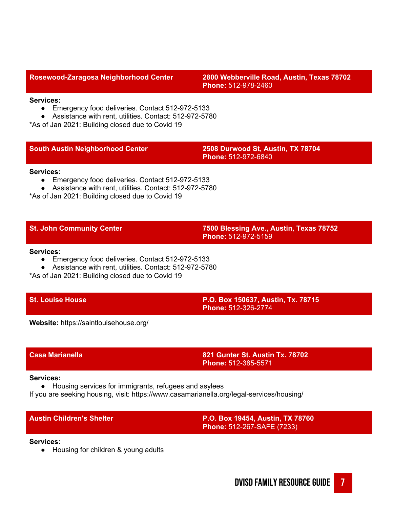**Rosewood-Zaragosa Neighborhood Center 2800 Webberville Road, Austin, Texas 78702 Phone:** 512-978-2460

### **Services:**

- Emergency food deliveries. Contact 512-972-5133
- Assistance with rent, utilities. Contact: 512-972-5780

\*As of Jan 2021: Building closed due to Covid 19

## **South Austin Neighborhood Center 2508 Durwood St, Austin, TX 78704**

**Phone:** 512-972-6840

### **Services:**

- Emergency food deliveries. Contact 512-972-5133
- Assistance with rent, utilities. Contact: 512-972-5780

\*As of Jan 2021: Building closed due to Covid 19

**St. John Community Center 7500 Blessing Ave., Austin, Texas 78752 Phone:** 512-972-5159

### **Services:**

- Emergency food deliveries. Contact 512-972-5133
- Assistance with rent, utilities. Contact: 512-972-5780

\*As of Jan 2021: Building closed due to Covid 19

**St. Louise House P.O. Box 150637, Austin, Tx. 78715 Phone:** 512-326-2774

**Website:** https://saintlouisehouse.org/

**Casa Marianella 821 Gunter St. Austin Tx. 78702 Phone:** 512-385-5571

### **Services:**

● Housing services for immigrants, refugees and asylees

If you are seeking housing, visit: https://www.casamarianella.org/legal-services/housing/

**Austin Children's Shelter P.O. Box 19454, Austin, TX 78760 Phone:** 512-267-SAFE (7233)

### **Services:**

● Housing for children & young adults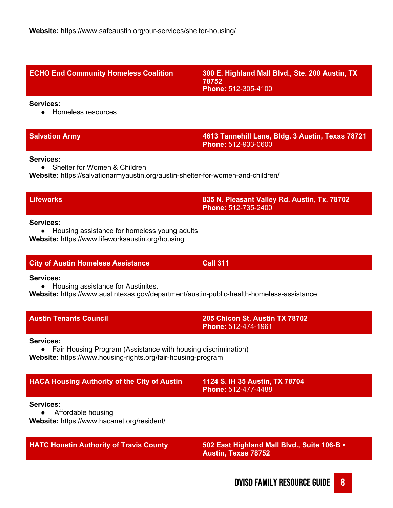| Homeless resources                                                                                                           |                                                                                |
|------------------------------------------------------------------------------------------------------------------------------|--------------------------------------------------------------------------------|
| <b>Salvation Army</b>                                                                                                        | 4613 Tannehill Lane, Bldg. 3 Austin, Texas 78721<br><b>Phone: 512-933-0600</b> |
| Services:<br>Shelter for Women & Children<br>Website: https://salvationarmyaustin.org/austin-shelter-for-women-and-children/ |                                                                                |
| <b>Lifeworks</b>                                                                                                             | 835 N. Pleasant Valley Rd. Austin, Tx. 78702<br><b>Phone: 512-735-2400</b>     |
| Services:<br>Housing assistance for homeless young adults<br>$\bullet$                                                       |                                                                                |

**ECHO End Community Homeless Coalition 300 E. Highland Mall Blvd., Ste. 200 Austin, TX**

**78752**

**Phone:** 512-305-4100

**Services:**

● Housing assistance for homeless young adults **Website:** https://www.lifeworksaustin.org/housing

# **City of Austin Homeless Assistance Call 311**

**Services:**

● Housing assistance for Austinites.

**Website:** https://www.austintexas.gov/department/austin-public-health-homeless-assistance

| <b>Austin Tenants Council</b> | 205 Chicon St, Austin TX 78702<br><b>Phone: 512-474-1961</b> |  |
|-------------------------------|--------------------------------------------------------------|--|
|                               |                                                              |  |

**Services:**

● Fair Housing Program (Assistance with housing discrimination) **Website:** https://www.housing-rights.org/fair-housing-program

| <b>HACA Housing Authority of the City of Austin</b> | 1124 S. IH 35 Austin, TX 78704<br>Phone: 512-477-4488 |  |
|-----------------------------------------------------|-------------------------------------------------------|--|
| <b>Services:</b><br>Affordable housing              |                                                       |  |

**Website:** https://www.hacanet.org/resident/

**HATC Houstin Authority of Travis County 502 East Highland Mall Blvd., Suite 106-B • Austin, Texas 78752**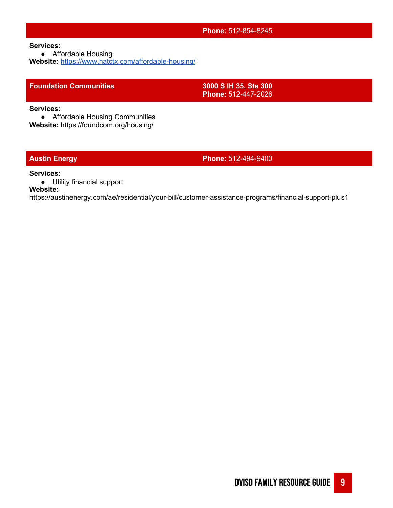### **Phone:** 512-854-8245

**Services:**

● Affordable Housing

**Website:** <https://www.hatctx.com/affordable-housing/>

## **Foundation Communities 3000 S IH 35, Ste 300**

**Phone:** 512-447-2026

**Services:**

● Affordable Housing Communities

**Website:** https://foundcom.org/housing/

**Austin Energy Phone:** 512-494-9400

### **Services:**

● Utility financial support

**Website:**

https://austinenergy.com/ae/residential/your-bill/customer-assistance-programs/financial-support-plus1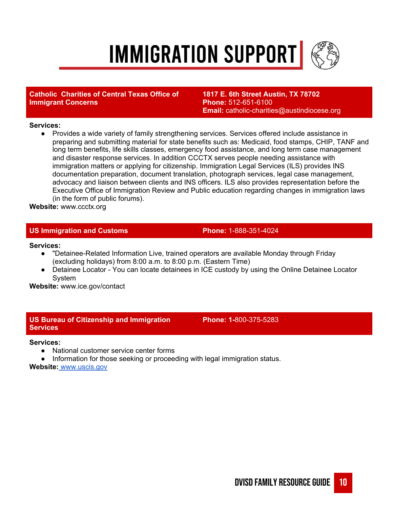# **IMMIGRATION SUPPORT**

# **Catholic Charities of Central Texas Office of Immigrant Concerns**

**1817 E. 6th Street Austin, TX 78702 Phone:** 512-651-6100 **Email:** catholic-charities@austindiocese.org

## **Services:**

● Provides a wide variety of family strengthening services. Services offered include assistance in preparing and submitting material for state benefits such as: Medicaid, food stamps, CHIP, TANF and long term benefits, life skills classes, emergency food assistance, and long term case management and disaster response services. In addition CCCTX serves people needing assistance with immigration matters or applying for citizenship. Immigration Legal Services (ILS) provides INS documentation preparation, document translation, photograph services, legal case management, advocacy and liaison between clients and INS officers. ILS also provides representation before the Executive Office of Immigration Review and Public education regarding changes in immigration laws (in the form of public forums).

**Website:** www.ccctx.org

# **US Immigration and Customs Phone:** 1-888-351-4024

### **Services:**

- "Detainee-Related Information Live, trained operators are available Monday through Friday (excluding holidays) from 8:00 a.m. to 8:00 p.m. (Eastern Time)
- Detainee Locator You can locate detainees in ICE custody by using the Online Detainee Locator System

**Website:** www.ice.gov/contact

# **US Bureau of Citizenship and Immigration Services**

**Phone: 1-**800-375-5283

### **Services:**

- National customer service center forms
- Information for those seeking or proceeding with legal immigration status.

## **Website:** [www.uscis.gov](http://www.uscis.gov/)

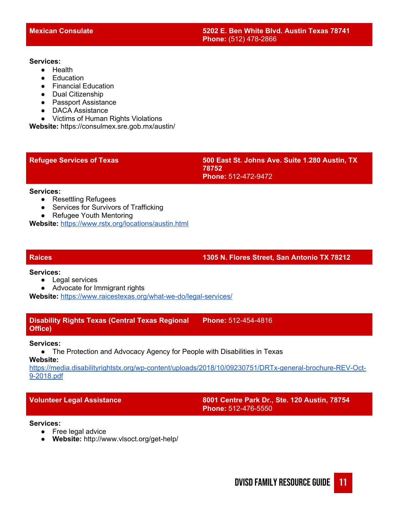### **Services:**

- Health
- Education
- Financial Education
- Dual Citizenship
- Passport Assistance
- DACA Assistance
- Victims of Human Rights Violations

**Website:** https://consulmex.sre.gob.mx/austin/

**Refugee Services of Texas 500 East St. Johns Ave. Suite 1.280 Austin, TX 78752 Phone:** 512-472-9472

### **Services:**

- Resettling Refugees
- Services for Survivors of Trafficking
- Refugee Youth Mentoring

**Website:** <https://www.rstx.org/locations/austin.html>

# **Raices 1305 N. Flores Street, San Antonio TX 78212**

### **Services:**

- Legal services
- Advocate for Immigrant rights

**Website:** <https://www.raicestexas.org/what-we-do/legal-services/>

**Disability Rights Texas (Central Texas Regional Office) Phone:** 512-454-4816

### **Services:**

● The Protection and Advocacy Agency for People with Disabilities in Texas

**Website:**

[https://media.disabilityrightstx.org/wp-content/uploads/2018/10/09230751/DRTx-general-brochure-REV-Oct-](https://media.disabilityrightstx.org/wp-content/uploads/2018/10/09230751/DRTx-general-brochure-REV-Oct-9-2018.pdf)[9-2018.pdf](https://media.disabilityrightstx.org/wp-content/uploads/2018/10/09230751/DRTx-general-brochure-REV-Oct-9-2018.pdf)

**Volunteer Legal Assistance 8001 Centre Park Dr., Ste. 120 Austin, 78754 Phone:** 512-476-5550

## **Services:**

- Free legal advice
- **Website:** http://www.vlsoct.org/get-help/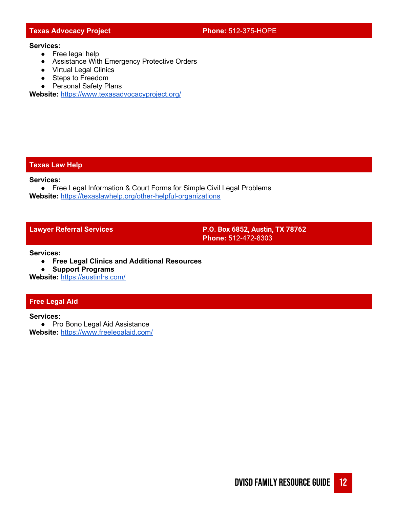# **Texas Advocacy Project Phone:** 512-375-HOPE

### **Services:**

- Free legal help
- Assistance With Emergency Protective Orders
- Virtual Legal Clinics
- Steps to Freedom
- Personal Safety Plans

**Website:** <https://www.texasadvocacyproject.org/>

### **Texas Law Help**

**Services:**

● Free Legal Information & Court Forms for Simple Civil Legal Problems **Website:** <https://texaslawhelp.org/other-helpful-organizations>

**Lawyer Referral Services P.O. Box 6852, Austin, TX 78762 Phone:** 512-472-8303

**Services:**

**● Free Legal Clinics and Additional Resources**

**● Support Programs**

**Website:** <https://austinlrs.com/>

# **Free Legal Aid**

**Services:**

● Pro Bono Legal Aid Assistance **Website:** <https://www.freelegalaid.com/>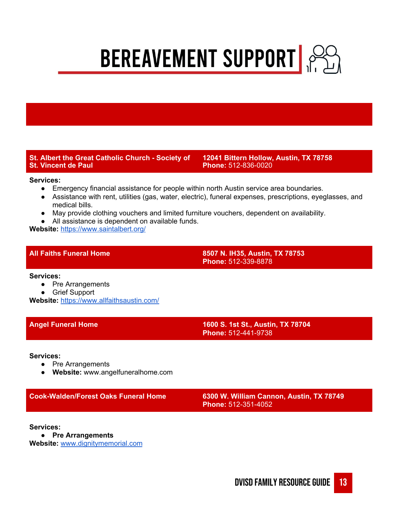**BEREAVEMENT SUPPORT** 

# **St. Albert the Great Catholic Church - Society of St. Vincent de Paul**

**12041 Bittern Hollow, Austin, TX 78758 Phone:** 512-836-0020

### **Services:**

- Emergency financial assistance for people within north Austin service area boundaries.
- Assistance with rent, utilities (gas, water, electric), funeral expenses, prescriptions, eyeglasses, and medical bills.
- May provide clothing vouchers and limited furniture vouchers, dependent on availability.
- All assistance is dependent on available funds.

**Website:** [https://www.saintalbert.org/](https://www.saintalbert.org/Provides)

**All Faiths Funeral Home 8507 N. IH35, Austin, TX 78753 Phone:** 512-339-8878

**Services:**

- Pre Arrangements
- Grief Support

**Website:** <https://www.allfaithsaustin.com/>

**Angel Funeral Home 1600 S. 1st St., Austin, TX 78704 Phone:** 512-441-9738

**Services:**

- Pre Arrangements
- **● Website:** www.angelfuneralhome.com

**Cook-Walden/Forest Oaks Funeral Home 6300 W. William Cannon, Austin, TX 78749**

**Phone:** 512-351-4052

**Services:**

**● Pre Arrangements**

**Website:** [www.dignitymemorial.com](http://www.dignitymemorial.com/)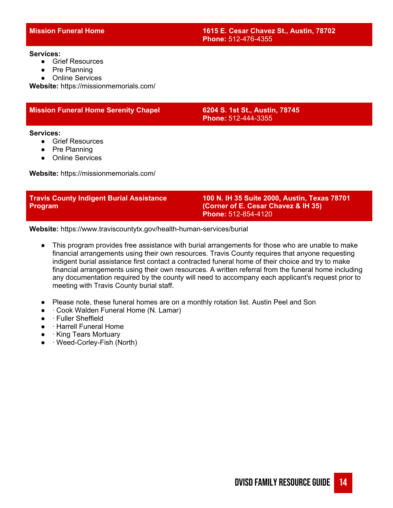### **Services:**

- Grief Resources
- Pre Planning
- Online Services

**Website:** https://missionmemorials.com/

# **Mission Funeral Home Serenity Chapel 6204 S. 1st St., Austin, 78745**

# **Phone:** 512-444-3355

### **Services:**

- Grief Resources
- Pre Planning
- Online Services

**Website:** https://missionmemorials.com/

| <b>Travis County Indigent Burial Assistance</b> | 100 N. IH 35 Suite 2000, Austin, Texas 78701 |
|-------------------------------------------------|----------------------------------------------|
| <b>Program</b>                                  | (Corner of E. Cesar Chavez & IH 35)          |
|                                                 | <b>Phone: 512-854-4120</b>                   |

**Website:** https://www.traviscountytx.gov/health-human-services/burial

- This program provides free assistance with burial arrangements for those who are unable to make financial arrangements using their own resources. Travis County requires that anyone requesting indigent burial assistance first contact a contracted funeral home of their choice and try to make financial arrangements using their own resources. A written referral from the funeral home including any documentation required by the county will need to accompany each applicant's request prior to meeting with Travis County burial staff.
- Please note, these funeral homes are on a monthly rotation list. Austin Peel and Son
- **· Cook Walden Funeral Home (N. Lamar)**
- · Fuller Sheffield
- · Harrell Funeral Home
- $\bullet$  · King Tears Mortuary
- · Weed-Corley-Fish (North)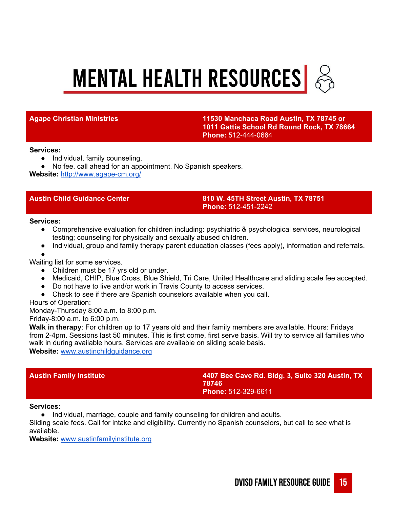# **MENTAL HEALTH RESOURCES**  $\frac{1}{22}$

**Agape Christian Ministries 11530 Manchaca Road Austin, TX 78745 or 1011 Gattis School Rd Round Rock, TX 78664 Phone:** 512-444-0664

### **Services:**

- Individual, family counseling.
- No fee, call ahead for an appointment. No Spanish speakers.

**Website:** <http://www.agape-cm.org/>

**Austin Child Guidance Center 810 W. 45TH Street Austin, TX 78751 Phone:** 512-451-2242

### **Services:**

- Comprehensive evaluation for children including: psychiatric & psychological services, neurological testing; counseling for physically and sexually abused children.
- Individual, group and family therapy parent education classes (fees apply), information and referrals.
- ●

Waiting list for some services.

- Children must be 17 yrs old or under.
- Medicaid, CHIP, Blue Cross, Blue Shield, Tri Care, United Healthcare and sliding scale fee accepted.
- Do not have to live and/or work in Travis County to access services.
- Check to see if there are Spanish counselors available when you call.

Hours of Operation:

Monday-Thursday 8:00 a.m. to 8:00 p.m.

Friday-8:00 a.m. to 6:00 p.m.

**Walk in therapy**: For children up to 17 years old and their family members are available. Hours: Fridays from 2-4pm. Sessions last 50 minutes. This is first come, first serve basis. Will try to service all families who walk in during available hours. Services are available on sliding scale basis.

**Website:** [www.austinchildguidance.org](http://www.austinchildguidance.org/)

**Austin Family Institute 4407 Bee Cave Rd. Bldg. 3, Suite 320 Austin, TX 78746 Phone:** 512-329-6611

### **Services:**

● Individual, marriage, couple and family counseling for children and adults.

Sliding scale fees. Call for intake and eligibility. Currently no Spanish counselors, but call to see what is available.

**Website:** [www.austinfamilyinstitute.org](http://www.austinfamilyinstitute.org/)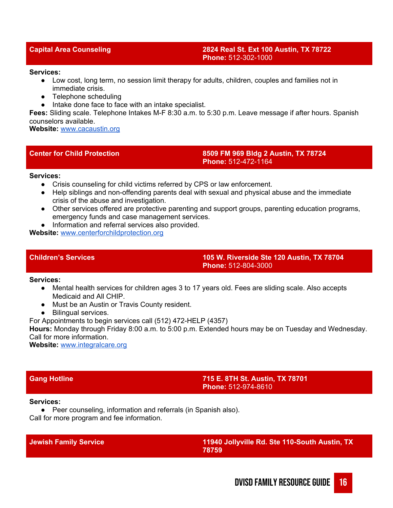### **Capital Area Counseling 2824 Real St. Ext 100 Austin, TX 78722 Phone:** 512-302-1000

### **Services:**

- Low cost, long term, no session limit therapy for adults, children, couples and families not in immediate crisis.
- Telephone scheduling
- Intake done face to face with an intake specialist.

**Fees:** Sliding scale. Telephone Intakes M-F 8:30 a.m. to 5:30 p.m. Leave message if after hours. Spanish counselors available.

**Website:** [www.cacaustin.org](http://www.cacaustin.org/)

## **Center for Child Protection 8509 FM 969 Bldg 2 Austin, TX 78724 Phone:** 512-472-1164

### **Services:**

- Crisis counseling for child victims referred by CPS or law enforcement.
- Help siblings and non-offending parents deal with sexual and physical abuse and the immediate crisis of the abuse and investigation.
- Other services offered are protective parenting and support groups, parenting education programs, emergency funds and case management services.
- Information and referral services also provided.

**Website:** [www.centerforchildprotection.org](http://www.centerforchildprotection.org/)

**Children's Services 105 W. Riverside Ste 120 Austin, TX 78704 Phone:** 512-804-3000

### **Services:**

- Mental health services for children ages 3 to 17 years old. Fees are sliding scale. Also accepts Medicaid and All CHIP.
- Must be an Austin or Travis County resident.
- Bilingual services.

For Appointments to begin services call (512) 472-HELP (4357)

**Hours:** Monday through Friday 8:00 a.m. to 5:00 p.m. Extended hours may be on Tuesday and Wednesday. Call for more information.

**Website:** [www.integralcare.org](http://www.integralcare.org/)

**Gang Hotline 715 E. 8TH St. Austin, TX 78701 Phone:** 512-974-8610

### **Services:**

● Peer counseling, information and referrals (in Spanish also).

Call for more program and fee information.

**Jewish Family Service 11940 Jollyville Rd. Ste 110-South Austin, TX 78759**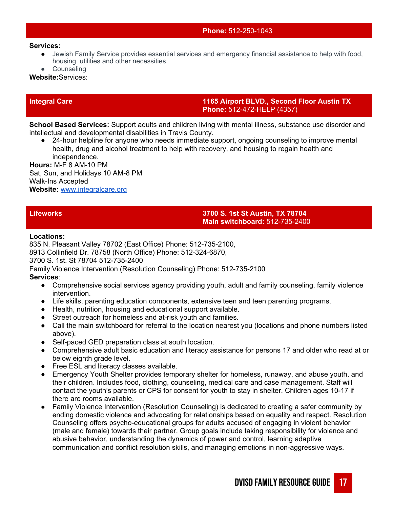### **Phone:** 512-250-1043

### **Services:**

- Jewish Family Service provides essential services and emergency financial assistance to help with food, housing, utilities and other necessities.
- Counseling

**Website:**Services:

**Integral Care 1165 Airport BLVD., Second Floor Austin TX Phone:** 512-472-HELP (4357)

**School Based Services:** Support adults and children living with mental illness, substance use disorder and intellectual and developmental disabilities in Travis County.

24-hour helpline for anyone who needs immediate support, ongoing counseling to improve mental health, drug and alcohol treatment to help with recovery, and housing to regain health and independence.

**Hours:** M-F 8 AM-10 PM Sat, Sun, and Holidays 10 AM-8 PM Walk-Ins Accepted **Website:** [www.integralcare.org](http://www.integralcare.org/)

# **Lifeworks 3700 S. 1st St Austin, TX 78704 Main switchboard:** 512-735-2400

### **Locations:**

835 N. Pleasant Valley 78702 (East Office) Phone: 512-735-2100, 8913 Collinfield Dr. 78758 (North Office) Phone: 512-324-6870,

3700 S. 1st. St 78704 512-735-2400

Family Violence Intervention (Resolution Counseling) Phone: 512-735-2100 **Services**:

- Comprehensive social services agency providing youth, adult and family counseling, family violence intervention.
- Life skills, parenting education components, extensive teen and teen parenting programs.
- Health, nutrition, housing and educational support available.
- Street outreach for homeless and at-risk youth and families.
- Call the main switchboard for referral to the location nearest you (locations and phone numbers listed above).
- Self-paced GED preparation class at south location.
- Comprehensive adult basic education and literacy assistance for persons 17 and older who read at or below eighth grade level.
- Free ESL and literacy classes available.
- Emergency Youth Shelter provides temporary shelter for homeless, runaway, and abuse youth, and their children. Includes food, clothing, counseling, medical care and case management. Staff will contact the youth's parents or CPS for consent for youth to stay in shelter. Children ages 10-17 if there are rooms available.
- Family Violence Intervention (Resolution Counseling) is dedicated to creating a safer community by ending domestic violence and advocating for relationships based on equality and respect. Resolution Counseling offers psycho-educational groups for adults accused of engaging in violent behavior (male and female) towards their partner. Group goals include taking responsibility for violence and abusive behavior, understanding the dynamics of power and control, learning adaptive communication and conflict resolution skills, and managing emotions in non-aggressive ways.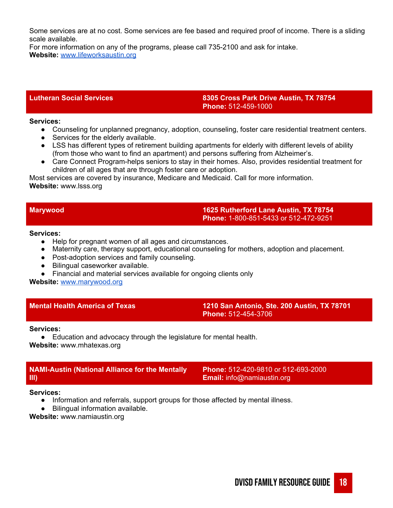Some services are at no cost. Some services are fee based and required proof of income. There is a sliding scale available.

For more information on any of the programs, please call 735-2100 and ask for intake. **Website:** [www.lifeworksaustin.org](http://www.lifeworksaustin.org/)

## **Lutheran Social Services 8305 Cross Park Drive Austin, TX 78754 Phone:** 512-459-1000

### **Services:**

- Counseling for unplanned pregnancy, adoption, counseling, foster care residential treatment centers.
- Services for the elderly available.
- LSS has different types of retirement building apartments for elderly with different levels of ability (from those who want to find an apartment) and persons suffering from Alzheimer's.
- Care Connect Program-helps seniors to stay in their homes. Also, provides residential treatment for children of all ages that are through foster care or adoption.

Most services are covered by insurance, Medicare and Medicaid. Call for more information. **Website:** www.lsss.org

## **Marywood 1625 Rutherford Lane Austin, TX 78754 Phone:** 1-800-851-5433 or 512-472-9251

### **Services:**

- Help for pregnant women of all ages and circumstances.
- Maternity care, therapy support, educational counseling for mothers, adoption and placement.
- Post-adoption services and family counseling.
- Bilingual caseworker available.
- Financial and material services available for ongoing clients only

**Website:** [www.marywood.org](http://www.marywood.org/)

**Mental Health America of Texas 1210 San Antonio, Ste. 200 Austin, TX 78701 Phone:** 512-454-3706

### **Services:**

● Education and advocacy through the legislature for mental health. **Website:** www.mhatexas.org

# **NAMI-Austin (National Alliance for the Mentally Ill)**

**Phone:** 512-420-9810 or 512-693-2000 **Email:** info@namiaustin.org

### **Services:**

- Information and referrals, support groups for those affected by mental illness.
- Bilingual information available.

**Website:** www.namiaustin.org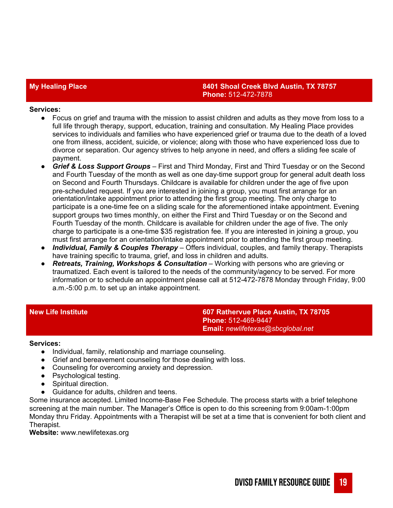# **My Healing Place 8401 Shoal Creek Blvd Austin, TX 78757 Phone:** 512-472-7878

### **Services:**

- Focus on grief and trauma with the mission to assist children and adults as they move from loss to a full life through therapy, support, education, training and consultation. My Healing Place provides services to individuals and families who have experienced grief or trauma due to the death of a loved one from illness, accident, suicide, or violence; along with those who have experienced loss due to divorce or separation. Our agency strives to help anyone in need, and offers a sliding fee scale of payment.
- *Grief & Loss Support Groups* First and Third Monday, First and Third Tuesday or on the Second and Fourth Tuesday of the month as well as one day-time support group for general adult death loss on Second and Fourth Thursdays. Childcare is available for children under the age of five upon pre-scheduled request. If you are interested in joining a group, you must first arrange for an orientation/intake appointment prior to attending the first group meeting. The only charge to participate is a one-time fee on a sliding scale for the aforementioned intake appointment. Evening support groups two times monthly, on either the First and Third Tuesday or on the Second and Fourth Tuesday of the month. Childcare is available for children under the age of five. The only charge to participate is a one-time \$35 registration fee. If you are interested in joining a group, you must first arrange for an orientation/intake appointment prior to attending the first group meeting.
- *Individual, Family & Couples Therapy* Offers individual, couples, and family therapy. Therapists have training specific to trauma, grief, and loss in children and adults.
- *Retreats, Training, Workshops & Consultation* Working with persons who are grieving or traumatized. Each event is tailored to the needs of the community/agency to be served. For more information or to schedule an appointment please call at 512-472-7878 Monday through Friday, 9:00 a.m.-5:00 p.m. to set up an intake appointment.

**New Life Institute 607 Rathervue Place Austin, TX 78705 Phone:** 512-469-9447 **Email:** *newlifetexas@sbcglobal.net*

### **Services:**

- Individual, family, relationship and marriage counseling.
- Grief and bereavement counseling for those dealing with loss.
- Counseling for overcoming anxiety and depression.
- Psychological testing.
- Spiritual direction.
- Guidance for adults, children and teens.

Some insurance accepted. Limited Income-Base Fee Schedule. The process starts with a brief telephone screening at the main number. The Manager's Office is open to do this screening from 9:00am-1:00pm Monday thru Friday. Appointments with a Therapist will be set at a time that is convenient for both client and Therapist.

**Website:** www.newlifetexas.org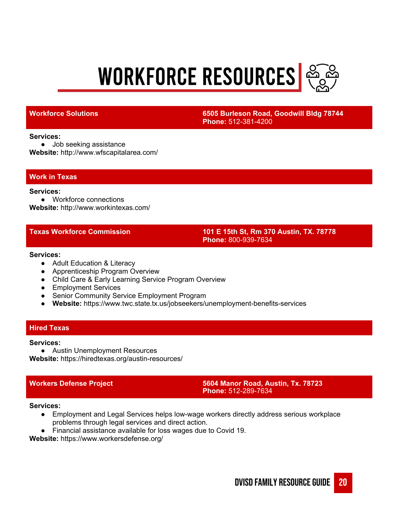# **WORKFORCE RESOURCES**



**Workforce Solutions 6505 Burleson Road, Goodwill Bldg 78744 Phone:** 512-381-4200

### **Services:**

● Job seeking assistance **Website:** http://www.wfscapitalarea.com/

### **Work in Texas**

### **Services:**

● Workforce connections **Website:** http://www.workintexas.com/

**Texas Workforce Commission 101 E 15th St, Rm 370 Austin, TX. 78778 Phone:** 800-939-7634

### **Services:**

- Adult Education & Literacy
- Apprenticeship Program Overview
- Child Care & Early Learning Service Program Overview
- Employment Services
- Senior Community Service Employment Program
- **Website:** https://www.twc.state.tx.us/jobseekers/unemployment-benefits-services

## **Hired Texas**

### **Services:**

**●** Austin Unemployment Resources

**Website:** https://hiredtexas.org/austin-resources/

**Workers Defense Project 5604 Manor Road, Austin, Tx. 78723 Phone:** 512-289-7634

### **Services:**

- Employment and Legal Services helps low-wage workers directly address serious workplace problems through legal services and direct action.
- Financial assistance available for loss wages due to Covid 19.

**Website:** https://www.workersdefense.org/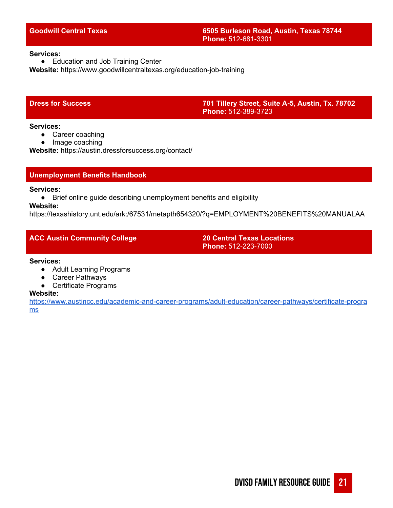### **Services:**

● Education and Job Training Center **Website:** https://www.goodwillcentraltexas.org/education-job-training

**Dress for Success 701 Tillery Street, Suite A-5, Austin, Tx. 78702 Phone:** 512-389-3723

### **Services:**

- Career coaching
- Image coaching

**Website:** https://austin.dressforsuccess.org/contact/

## **Unemployment Benefits Handbook**

**Services:**

● Brief online guide describing unemployment benefits and eligibility

# **Website:**

https://texashistory.unt.edu/ark:/67531/metapth654320/?q=EMPLOYMENT%20BENEFITS%20MANUALAA

# **ACC Austin Community College 20 Central Texas Locations**

**Phone:** 512-223-7000

### **Services:**

- Adult Learning Programs
- Career Pathways
- Certificate Programs

### **Website:**

[https://www.austincc.edu/academic-and-career-programs/adult-education/career-pathways/certificate-progra](https://www.austincc.edu/academic-and-career-programs/adult-education/career-pathways/certificate-programs) [ms](https://www.austincc.edu/academic-and-career-programs/adult-education/career-pathways/certificate-programs)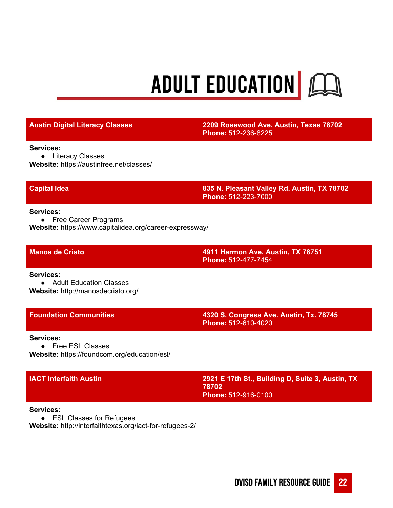# ADULT EDUCATION EQ

**Austin Digital Literacy Classes 2209 Rosewood Ave. Austin, Texas 78702 Phone:** 512-236-8225

**Services:**

● Literacy Classes **Website:** https://austinfree.net/classes/

**Capital Idea 835 N. Pleasant Valley Rd. Austin, TX 78702 Phone:** 512-223-7000

**Services:**

● Free Career Programs **Website:** https://www.capitalidea.org/career-expressway/

**Manos de Cristo 4911 Harmon Ave. Austin, TX 78751 Phone:** 512-477-7454

**Services:**

● Adult Education Classes **Website:** http://manosdecristo.org/

**Foundation Communities 4320 S. Congress Ave. Austin, Tx. 78745 Phone:** 512-610-4020

### **Services:**

● Free ESL Classes **Website:** https://foundcom.org/education/esl/

**IACT Interfaith Austin 2921 E 17th St., Building D, Suite 3, Austin, TX 78702 Phone:** 512-916-0100

### **Services:**

● ESL Classes for Refugees

**Website:** http://interfaithtexas.org/iact-for-refugees-2/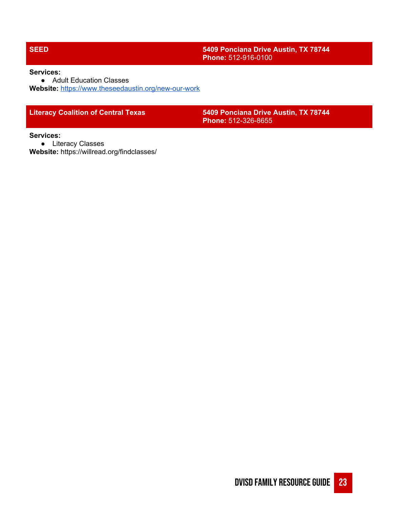# **SEED 5409 Ponciana Drive Austin, TX 78744 Phone:** 512-916-0100

### **Services:**

● Adult Education Classes **Website:** <https://www.theseedaustin.org/new-our-work>

**Literacy Coalition of Central Texas 5409 Ponciana Drive Austin, TX 78744 Phone:** 512-326-8655

### **Services:**

● Literacy Classes

**Website:** https://willread.org/findclasses/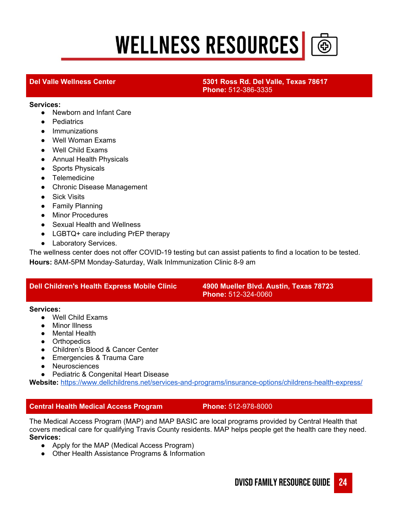# **WELLNESS RESOURCES**



# **Del Valle Wellness Center 5301 Ross Rd. Del Valle, Texas 78617 Phone:** 512-386-3335

### **Services:**

- Newborn and Infant Care
- Pediatrics
- Immunizations
- Well Woman Exams
- Well Child Exams
- Annual Health Physicals
- Sports Physicals
- Telemedicine
- Chronic Disease Management
- Sick Visits
- Family Planning
- Minor Procedures
- Sexual Health and Wellness
- LGBTQ+ care including PrEP therapy
- Laboratory Services.

The wellness center does not offer COVID-19 testing but can assist patients to find a location to be tested. **Hours:** 8AM-5PM Monday-Saturday, Walk InImmunization Clinic 8-9 am

# **Dell Children's Health Express Mobile Clinic 4900 Mueller Blvd. Austin, Texas 78723**

**Phone:** 512-324-0060

### **Services:**

- Well Child Exams
- Minor Illness
- Mental Health
- Orthopedics
- Children's Blood & Cancer Center
- Emergencies & Trauma Care
- Neurosciences
- Pediatric & Congenital Heart Disease

**Website:** <https://www.dellchildrens.net/services-and-programs/insurance-options/childrens-health-express/>

# **Central Health Medical Access Program Phone:** 512-978-8000

The Medical Access Program (MAP) and MAP BASIC are local programs provided by Central Health that covers medical care for qualifying Travis County residents. MAP helps people get the health care they need. **Services:**

- Apply for the MAP (Medical Access Program)
- Other Health Assistance Programs & Information

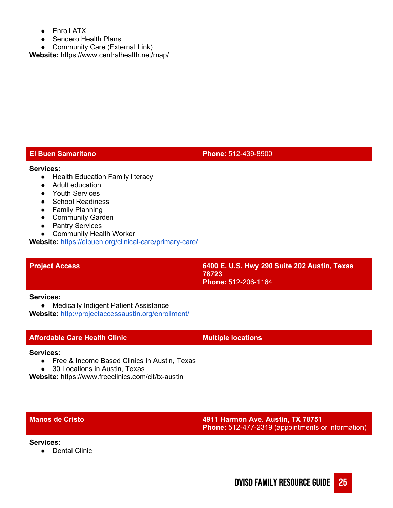- Enroll ATX
- Sendero Health Plans
- Community Care (External Link)

**Website:** https://www.centralhealth.net/map/

# **El Buen Samaritano Phone:** 512-439-8900

- **Services:** ● Health Education Family literacy
	- Adult education
	- Youth Services
	- School Readiness
	- Family Planning
	- Community Garden
	- Pantry Services
	- Community Health Worker

**Website:** <https://elbuen.org/clinical-care/primary-care/>

**Project Access 6400 E. U.S. Hwy 290 Suite 202 Austin, Texas 78723 Phone:** 512-206-1164

### **Services:**

● Medically Indigent Patient Assistance **Website:** <http://projectaccessaustin.org/enrollment/>

# **Affordable Care Health Clinic Multiple locations**

### **Services:**

- Free & Income Based Clinics In Austin, Texas
- 30 Locations in Austin, Texas

**Website:** https://www.freeclinics.com/cit/tx-austin

# **Manos de Cristo 4911 Harmon Ave. Austin, TX 78751 Phone:** 512-477-2319 (appointments or information)

### **Services:**

● Dental Clinic

DVISD FAMILY RESOURCE GUIDE 25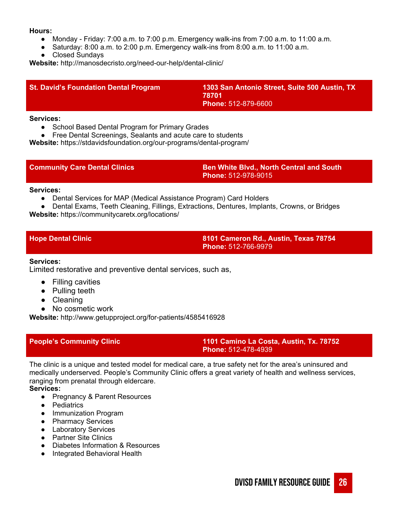### **Hours:**

- Monday Friday: 7:00 a.m. to 7:00 p.m. Emergency walk-ins from 7:00 a.m. to 11:00 a.m.
- Saturday: 8:00 a.m. to 2:00 p.m. Emergency walk-ins from 8:00 a.m. to 11:00 a.m.
- Closed Sundays

**Website:** http://manosdecristo.org/need-our-help/dental-clinic/

| <b>St. David's Foundation Dental Program</b> | 1303 San Antonio Street, Suite 500 Austin, TX<br>78701<br><b>Phone: 512-879-6600</b> |
|----------------------------------------------|--------------------------------------------------------------------------------------|
|                                              |                                                                                      |

### **Services:**

● School Based Dental Program for Primary Grades

● Free Dental Screenings, Sealants and acute care to students

**Website:** https://stdavidsfoundation.org/our-programs/dental-program/

| <b>Community Care Dental Clinics</b> | <b>Ben White Blvd., North Central and South \</b> |  |
|--------------------------------------|---------------------------------------------------|--|
|                                      | <b>NPhone:</b> 512-978-9015 \                     |  |

### **Services:**

- Dental Services for MAP (Medical Assistance Program) Card Holders
- Dental Exams, Teeth Cleaning, Fillings, Extractions, Dentures, Implants, Crowns, or Bridges

**Website:** https://communitycaretx.org/locations/

**Hope Dental Clinic 8101 Cameron Rd., Austin, Texas 78754 Phone:** 512-766-9979

# **Services:**

Limited restorative and preventive dental services, such as,

- Filling cavities
- Pulling teeth
- Cleaning
- No cosmetic work

**Website:** http://www.getupproject.org/for-patients/4585416928

# **People's Community Clinic 1101 Camino La Costa, Austin, Tx. 78752 Phone:** 512-478-4939

The clinic is a unique and tested model for medical care, a true safety net for the area's uninsured and medically underserved. People's Community Clinic offers a great variety of health and wellness services, ranging from prenatal through eldercare.

# **Services:**

- Pregnancy & Parent Resources
- Pediatrics
- Immunization Program
- Pharmacy Services
- Laboratory Services
- Partner Site Clinics
- Diabetes Information & Resources
- Integrated Behavioral Health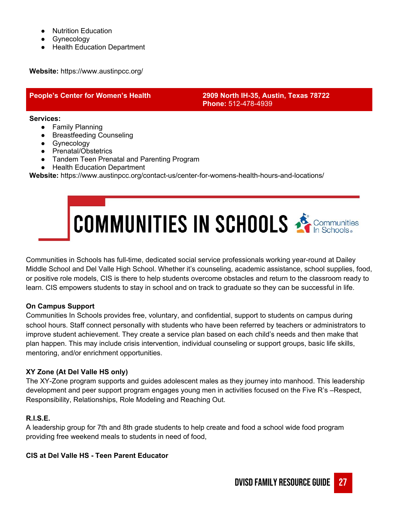- **Nutrition Education**
- Gynecology
- Health Education Department

**Website:** https://www.austinpcc.org/

# **People's Center for Women's Health 2909 North IH-35, Austin, Texas 78722 Phone:** 512-478-4939

**Services:**

- Family Planning
- Breastfeeding Counseling
- Gynecology
- Prenatal/Obstetrics
- Tandem Teen Prenatal and Parenting Program
- Health Education Department

**Website:** https://www.austinpcc.org/contact-us/center-for-womens-health-hours-and-locations/

# COMMUNITIES IN SCHOOLS SCOMMUNITIES

Communities in Schools has full-time, dedicated social service professionals working year-round at Dailey Middle School and Del Valle High School. Whether it's counseling, academic assistance, school supplies, food, or positive role models, CIS is there to help students overcome obstacles and return to the classroom ready to learn. CIS empowers students to stay in school and on track to graduate so they can be successful in life.

# **On Campus Support**

Communities In Schools provides free, voluntary, and confidential, support to students on campus during school hours. Staff connect personally with students who have been referred by teachers or administrators to improve student achievement. They create a service plan based on each child's needs and then make that plan happen. This may include crisis intervention, individual counseling or support groups, basic life skills, mentoring, and/or enrichment opportunities.

# **XY Zone (At Del Valle HS only)**

The XY-Zone program supports and guides adolescent males as they journey into manhood. This leadership development and peer support program engages young men in activities focused on the Five R's –Respect, Responsibility, Relationships, Role Modeling and Reaching Out.

# **R.I.S.E.**

A leadership group for 7th and 8th grade students to help create and food a school wide food program providing free weekend meals to students in need of food,

# **CIS at Del Valle HS - Teen Parent Educator**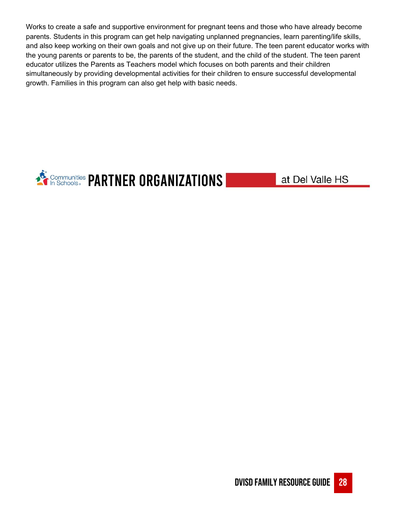Works to create a safe and supportive environment for pregnant teens and those who have already become parents. Students in this program can get help navigating unplanned pregnancies, learn parenting/life skills, and also keep working on their own goals and not give up on their future. The teen parent educator works with the young parents or parents to be, the parents of the student, and the child of the student. The teen parent educator utilizes the Parents as Teachers model which focuses on both parents and their children simultaneously by providing developmental activities for their children to ensure successful developmental growth. Families in this program can also get help with basic needs.



at Del Valle HS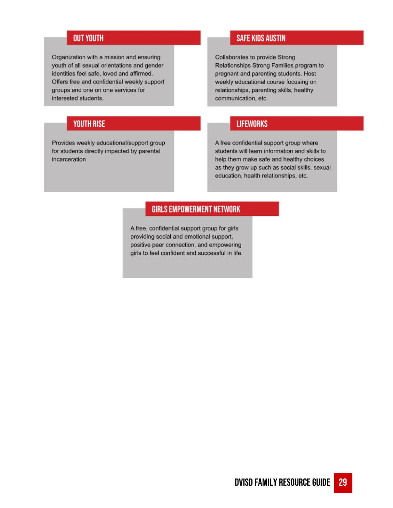# **OUT YOUTH**

Organization with a mission and ensuring youth of all sexual orientations and gender identities feel safe, loved and affirmed. Offers free and confidential weekly support groups and one on one services for interested students.

# **YOUTH RISE**

Provides weekly educational/support group for students directly impacted by parental incarceration

# **SAFE KIDS AUSTIN**

Collaborates to provide Strong Relationships Strong Families program to pregnant and parenting students. Host weekly educational course focusing on relationships, parenting skills, healthy communication, etc.

# **LIFEWORKS**

A free confidential support group where students will learn information and skills to help them make safe and healthy choices as they grow up such as social skills, sexual education, health relationships, etc.

# **GIRLS EMPOWERMENT NETWORK**

A free, confidential support group for girls providing social and emotional support, positive peer connection, and empowering girls to feel confident and successful in life.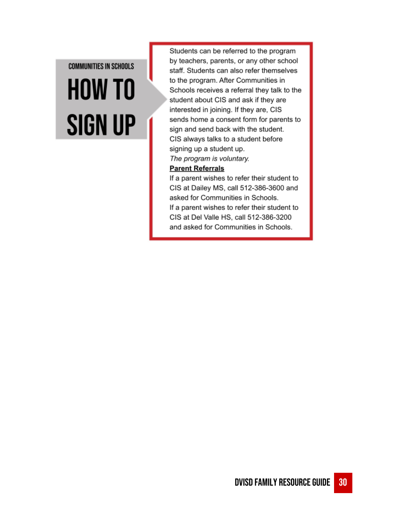# **COMMUNITIES IN SCHOOLS HOW TO SIGN UP**

Students can be referred to the program by teachers, parents, or any other school staff. Students can also refer themselves to the program. After Communities in Schools receives a referral they talk to the student about CIS and ask if they are interested in joining. If they are, CIS sends home a consent form for parents to sign and send back with the student. CIS always talks to a student before signing up a student up. The program is voluntary.

# **Parent Referrals**

If a parent wishes to refer their student to CIS at Dailey MS, call 512-386-3600 and asked for Communities in Schools. If a parent wishes to refer their student to CIS at Del Valle HS, call 512-386-3200 and asked for Communities in Schools.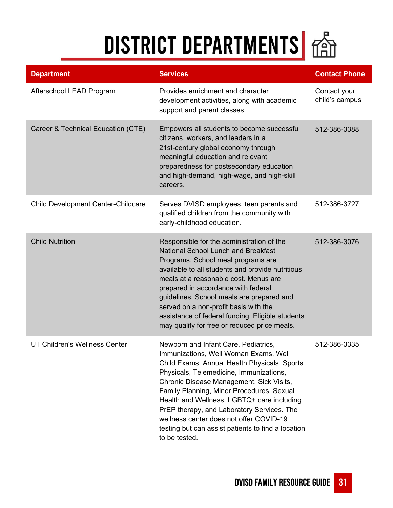# DISTRICT DEPARTMENTS 65

| <b>Department</b>                  | <b>Services</b>                                                                                                                                                                                                                                                                                                                                                                                                                                                                 | <b>Contact Phone</b>           |
|------------------------------------|---------------------------------------------------------------------------------------------------------------------------------------------------------------------------------------------------------------------------------------------------------------------------------------------------------------------------------------------------------------------------------------------------------------------------------------------------------------------------------|--------------------------------|
| Afterschool LEAD Program           | Provides enrichment and character<br>development activities, along with academic<br>support and parent classes.                                                                                                                                                                                                                                                                                                                                                                 | Contact your<br>child's campus |
| Career & Technical Education (CTE) | Empowers all students to become successful<br>citizens, workers, and leaders in a<br>21st-century global economy through<br>meaningful education and relevant<br>preparedness for postsecondary education<br>and high-demand, high-wage, and high-skill<br>careers.                                                                                                                                                                                                             | 512-386-3388                   |
| Child Development Center-Childcare | Serves DVISD employees, teen parents and<br>qualified children from the community with<br>early-childhood education.                                                                                                                                                                                                                                                                                                                                                            | 512-386-3727                   |
| <b>Child Nutrition</b>             | Responsible for the administration of the<br>National School Lunch and Breakfast<br>Programs. School meal programs are<br>available to all students and provide nutritious<br>meals at a reasonable cost. Menus are<br>prepared in accordance with federal<br>guidelines. School meals are prepared and<br>served on a non-profit basis with the<br>assistance of federal funding. Eligible students<br>may qualify for free or reduced price meals.                            | 512-386-3076                   |
| UT Children's Wellness Center      | Newborn and Infant Care, Pediatrics,<br>Immunizations, Well Woman Exams, Well<br>Child Exams, Annual Health Physicals, Sports<br>Physicals, Telemedicine, Immunizations,<br>Chronic Disease Management, Sick Visits,<br>Family Planning, Minor Procedures, Sexual<br>Health and Wellness, LGBTQ+ care including<br>PrEP therapy, and Laboratory Services. The<br>wellness center does not offer COVID-19<br>testing but can assist patients to find a location<br>to be tested. | 512-386-3335                   |